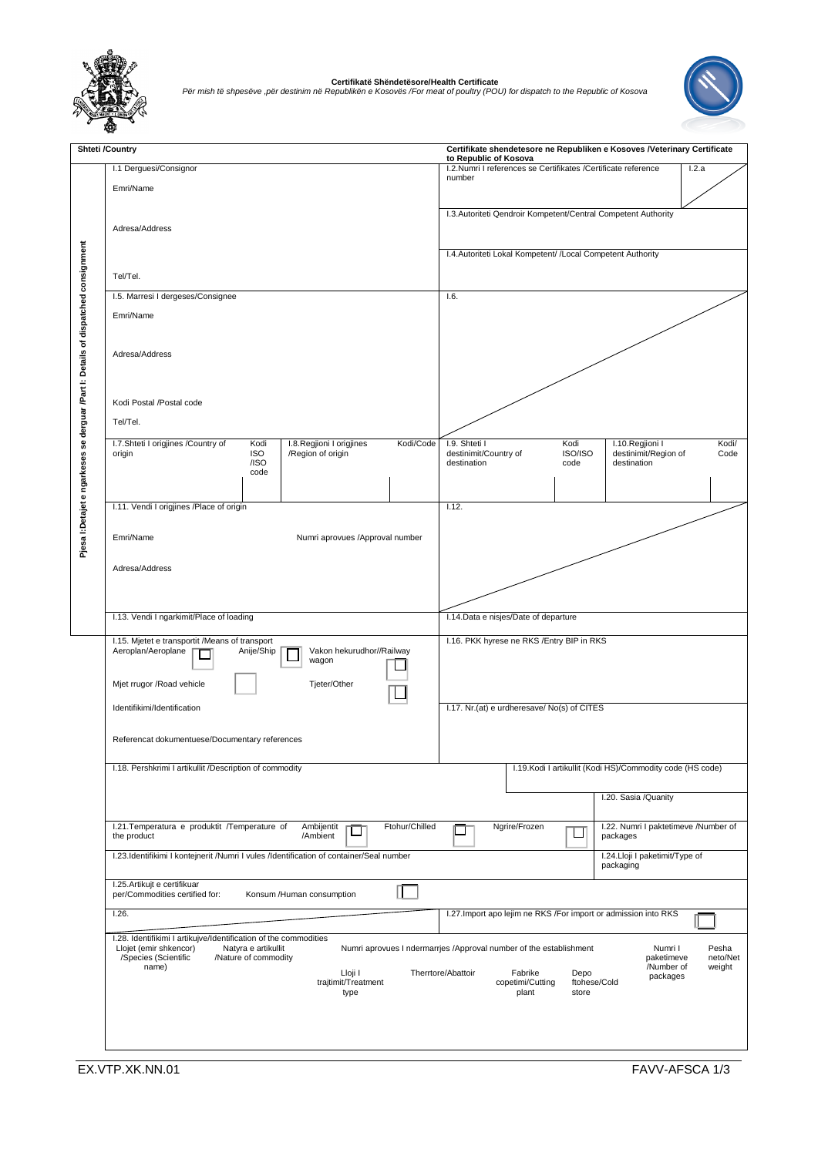

**Certifikatë Shëndetësore/Health Certificate** *Për mish të shpesëve ,për destinim në Republikën e Kosovës /For meat of poultry (POU) for dispatch to the Republic of Kosova*



|  | <b>Shteti /Country</b>                                                                                                                                            | Certifikate shendetesore ne Republiken e Kosoves /Veterinary Certificate<br>to Republic of Kosova                               |
|--|-------------------------------------------------------------------------------------------------------------------------------------------------------------------|---------------------------------------------------------------------------------------------------------------------------------|
|  | I.1 Derguesi/Consignor                                                                                                                                            | I.2.Numri I references se Certifikates /Certificate reference<br>1.2.a<br>number                                                |
|  | Emri/Name                                                                                                                                                         |                                                                                                                                 |
|  | Adresa/Address                                                                                                                                                    | I.3. Autoriteti Qendroir Kompetent/Central Competent Authority                                                                  |
|  |                                                                                                                                                                   |                                                                                                                                 |
|  |                                                                                                                                                                   | I.4. Autoriteti Lokal Kompetent/ /Local Competent Authority                                                                     |
|  | Tel/Tel.                                                                                                                                                          |                                                                                                                                 |
|  | I.5. Marresi I dergeses/Consignee                                                                                                                                 | 1.6.                                                                                                                            |
|  | Emri/Name                                                                                                                                                         |                                                                                                                                 |
|  |                                                                                                                                                                   |                                                                                                                                 |
|  | Adresa/Address                                                                                                                                                    |                                                                                                                                 |
|  |                                                                                                                                                                   |                                                                                                                                 |
|  | Kodi Postal /Postal code                                                                                                                                          |                                                                                                                                 |
|  | Tel/Tel.                                                                                                                                                          |                                                                                                                                 |
|  | Kodi/Code                                                                                                                                                         | Kodi<br>I.10. Regjioni I                                                                                                        |
|  | I.7.Shteti I origjines /Country of<br>Kodi<br>I.8. Regjioni I origjines<br><b>ISO</b><br>/Region of origin<br>origin                                              | I.9. Shteti I<br>Kodi/<br>ISO/ISO<br>destinimit/Country of<br>destinimit/Region of<br>Code<br>destination                       |
|  | /ISO<br>code                                                                                                                                                      | destination<br>code                                                                                                             |
|  |                                                                                                                                                                   |                                                                                                                                 |
|  | I.11. Vendi I origjines /Place of origin                                                                                                                          | 1.12.                                                                                                                           |
|  | Emri/Name<br>Numri aprovues /Approval number                                                                                                                      |                                                                                                                                 |
|  |                                                                                                                                                                   |                                                                                                                                 |
|  | Adresa/Address                                                                                                                                                    |                                                                                                                                 |
|  |                                                                                                                                                                   |                                                                                                                                 |
|  |                                                                                                                                                                   |                                                                                                                                 |
|  | I.13. Vendi I ngarkimit/Place of loading                                                                                                                          | I.14. Data e nisjes/Date of departure                                                                                           |
|  | I.15. Mjetet e transportit /Means of transport<br>Aeroplan/Aeroplane<br>Anije/Ship<br>Vakon hekurudhor//Railway                                                   | I.16. PKK hyrese ne RKS / Entry BIP in RKS                                                                                      |
|  | wagon                                                                                                                                                             |                                                                                                                                 |
|  | Mjet rrugor /Road vehicle<br>Tjeter/Other                                                                                                                         |                                                                                                                                 |
|  | Identifikimi/Identification                                                                                                                                       | I.17. Nr.(at) e urdheresave/ No(s) of CITES                                                                                     |
|  |                                                                                                                                                                   |                                                                                                                                 |
|  | Referencat dokumentuese/Documentary references                                                                                                                    |                                                                                                                                 |
|  | I.18. Pershkrimi I artikullit /Description of commodity                                                                                                           | I.19. Kodi I artikullit (Kodi HS)/Commodity code (HS code)                                                                      |
|  |                                                                                                                                                                   |                                                                                                                                 |
|  |                                                                                                                                                                   | I.20. Sasia /Quanity                                                                                                            |
|  | I.21. Temperatura e produktit / Temperature of<br>Ambijentit<br>Ftohur/Chilled<br>ப<br>/Ambient<br>the product                                                    | Ngrire/Frozen<br>I.22. Numri I paktetimeve /Number of<br>⊔<br>packages                                                          |
|  | I.23.Identifikimi I kontejnerit /Numri I vules /Identification of container/Seal number                                                                           | I.24.Lloji I paketimit/Type of                                                                                                  |
|  |                                                                                                                                                                   | packaging                                                                                                                       |
|  | I.25. Artikujt e certifikuar<br>per/Commodities certified for:<br>Konsum /Human consumption                                                                       |                                                                                                                                 |
|  | 1.26.                                                                                                                                                             | I.27. Import apo lejim ne RKS /For import or admission into RKS                                                                 |
|  | I.28. Identifikimi I artikujve/Identification of the commodities<br>Llojet (emir shkencor)<br>Natyra e artikullit<br>/Species (Scientific<br>/Nature of commodity | Numri aprovues I ndermarrjes /Approval number of the establishment<br>Numri I<br>Pesha<br>paketimeve<br>neto/Net                |
|  | name)<br>Lloji I<br>trajtimit/Treatment<br>type                                                                                                                   | /Number of<br>weight<br>Therrtore/Abattoir<br>Fabrike<br>Depo<br>packages<br>copetimi/Cutting<br>ftohese/Cold<br>plant<br>store |
|  |                                                                                                                                                                   |                                                                                                                                 |
|  |                                                                                                                                                                   |                                                                                                                                 |
|  |                                                                                                                                                                   |                                                                                                                                 |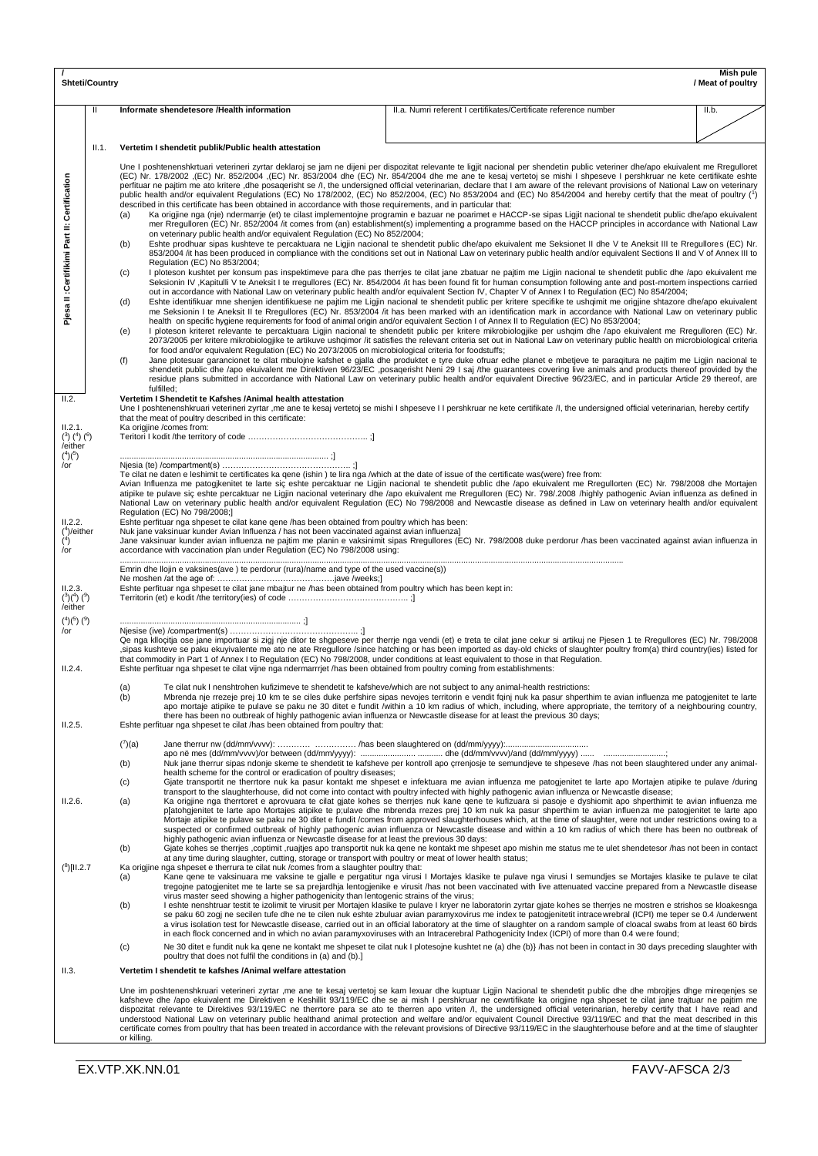| Mish pule<br><b>Shteti/Country</b><br>/ Meat of poultry                    |              |                                                                                                                                                                                                                                                                                                                                                                                                                                                                                                                                                                                                                                                                                                                                                                                                                                                                                                                                                                                                                                                                                                                                                                               |                                                                                                                                                                                                                                                                                                                                                                                                                                                                                                                                                                                                                                                                                                                                                                                                                                                                                                                                                                                                                                                                                                                                                                                                                                                                                                                                                                                                                                                                                                                                                                                                                                                                                                                                                                                                                                                                                                                                                                                                                                                                                                                                                                                                                                                                                                                                                                                                                                                                                                                                                                                                                                                                                                                                                                                                                                                                                                                                                                                                                                                                                                                                                                                                                                                                                     |       |  |  |
|----------------------------------------------------------------------------|--------------|-------------------------------------------------------------------------------------------------------------------------------------------------------------------------------------------------------------------------------------------------------------------------------------------------------------------------------------------------------------------------------------------------------------------------------------------------------------------------------------------------------------------------------------------------------------------------------------------------------------------------------------------------------------------------------------------------------------------------------------------------------------------------------------------------------------------------------------------------------------------------------------------------------------------------------------------------------------------------------------------------------------------------------------------------------------------------------------------------------------------------------------------------------------------------------|-------------------------------------------------------------------------------------------------------------------------------------------------------------------------------------------------------------------------------------------------------------------------------------------------------------------------------------------------------------------------------------------------------------------------------------------------------------------------------------------------------------------------------------------------------------------------------------------------------------------------------------------------------------------------------------------------------------------------------------------------------------------------------------------------------------------------------------------------------------------------------------------------------------------------------------------------------------------------------------------------------------------------------------------------------------------------------------------------------------------------------------------------------------------------------------------------------------------------------------------------------------------------------------------------------------------------------------------------------------------------------------------------------------------------------------------------------------------------------------------------------------------------------------------------------------------------------------------------------------------------------------------------------------------------------------------------------------------------------------------------------------------------------------------------------------------------------------------------------------------------------------------------------------------------------------------------------------------------------------------------------------------------------------------------------------------------------------------------------------------------------------------------------------------------------------------------------------------------------------------------------------------------------------------------------------------------------------------------------------------------------------------------------------------------------------------------------------------------------------------------------------------------------------------------------------------------------------------------------------------------------------------------------------------------------------------------------------------------------------------------------------------------------------------------------------------------------------------------------------------------------------------------------------------------------------------------------------------------------------------------------------------------------------------------------------------------------------------------------------------------------------------------------------------------------------------------------------------------------------------------------------------------------------|-------|--|--|
|                                                                            | $\mathbf{H}$ | Informate shendetesore /Health information                                                                                                                                                                                                                                                                                                                                                                                                                                                                                                                                                                                                                                                                                                                                                                                                                                                                                                                                                                                                                                                                                                                                    | II.a. Numri referent I certifikates/Certificate reference number                                                                                                                                                                                                                                                                                                                                                                                                                                                                                                                                                                                                                                                                                                                                                                                                                                                                                                                                                                                                                                                                                                                                                                                                                                                                                                                                                                                                                                                                                                                                                                                                                                                                                                                                                                                                                                                                                                                                                                                                                                                                                                                                                                                                                                                                                                                                                                                                                                                                                                                                                                                                                                                                                                                                                                                                                                                                                                                                                                                                                                                                                                                                                                                                                    | II.b. |  |  |
|                                                                            | II.1.        | Vertetim I shendetit publik/Public health attestation                                                                                                                                                                                                                                                                                                                                                                                                                                                                                                                                                                                                                                                                                                                                                                                                                                                                                                                                                                                                                                                                                                                         |                                                                                                                                                                                                                                                                                                                                                                                                                                                                                                                                                                                                                                                                                                                                                                                                                                                                                                                                                                                                                                                                                                                                                                                                                                                                                                                                                                                                                                                                                                                                                                                                                                                                                                                                                                                                                                                                                                                                                                                                                                                                                                                                                                                                                                                                                                                                                                                                                                                                                                                                                                                                                                                                                                                                                                                                                                                                                                                                                                                                                                                                                                                                                                                                                                                                                     |       |  |  |
| Certification<br>Pjesa II : Certifikimi Part II:                           |              | described in this certificate has been obtained in accordance with those requirements, and in particular that:<br>(a)<br>on veterinary public health and/or equivalent Regulation (EC) No 852/2004;<br>(b)<br>Regulation (EC) No 853/2004;<br>(c)<br>(d)<br>(e)<br>for food and/or equivalent Regulation (EC) No 2073/2005 on microbiological criteria for foodstuffs;<br>(f)<br>fulfilled:                                                                                                                                                                                                                                                                                                                                                                                                                                                                                                                                                                                                                                                                                                                                                                                   | Une I poshtenenshkrtuari veterineri zyrtar deklaroj se jam ne dijeni per dispozitat relevante te ligjit nacional per shendetin public veteriner dhe/apo ekuivalent me Rregulloret<br>(EC) Nr. 852/2004 (EC) Nr. 853/2004 dhe (EC) Nr. 854/2004 dhe me ane te kesaj vertetoj se mishi I shpeseve I pershkruar ne kete certifikate eshte<br>perfituar ne pajtim me ato kritere ,dhe posaqerisht se /l, the undersigned official veterinarian, declare that I am aware of the relevant provisions of National Law on veterinary<br>public health and/or equivalent Requlations (EC) No 178/2002, (EC) No 852/2004, (EC) No 853/2004 and (EC) No 854/2004 and hereby certify that the meat of poultry (1)<br>Ka origjine nga (nje) ndermarrje (et) te cilast implementojne programin e bazuar ne poarimet e HACCP-se sipas Ligjit nacional te shendetit public dhe/apo ekuivalent<br>mer Rregulloren (EC) Nr. 852/2004 /it comes from (an) establishment(s) implementing a programme based on the HACCP principles in accordance with National Law<br>Eshte prodhuar sipas kushteve te percaktuara ne Ligjin nacional te shendetit public dhe/apo ekuivalent me Seksionet II dhe V te Aneksit III te Rregullores (EC) Nr.<br>853/2004 /it has been produced in compliance with the conditions set out in National Law on veterinary public health and/or equivalent Sections II and V of Annex III to<br>I ploteson kushtet per konsum pas inspektimeve para dhe pas therrjes te cilat jane zbatuar ne pajtim me Ligjin nacional te shendetit public dhe /apo ekuivalent me<br>Seksionin IV , Kapitulli V te Aneksit I te rregullores (EC) Nr. 854/2004 /it has been found fit for human consumption following ante and post-mortem inspections carried<br>out in accordance with National Law on veterinary public health and/or equivalent Section IV, Chapter V of Annex I to Regulation (EC) No 854/2004;<br>Eshte identifikuar mne shenjen identifikuese ne pajtim me Ligjin nacional te shendetit public per kritere specifike te ushqimit me origjine shtazore dhe/apo ekuivalent<br>me Seksionin I te Aneksit II te Rregullores (EC) Nr. 853/2004 /it has been marked with an identification mark in accordance with National Law on veterinary public<br>health on specific hygiene requirements for food of animal origin and/or equivalent Section I of Annex II to Regulation (EC) No 853/2004;<br>I ploteson kriteret relevante te percaktuara Ligjin nacional te shendetit public per kritere mikrobiologjike per ushqim dhe /apo ekuivalent me Rregulloren (EC) Nr.<br>2073/2005 per kritere mikrobiologjike te artikuve ushqimor /it satisfies the relevant criteria set out in National Law on veterinary public health on microbiological criteria<br>Jane plotesuar garancionet te cilat mbulojne kafshet e gjalla dhe produktet e tyre duke ofruar edhe planet e mbetjeve te paraqitura ne pajtim me Ligjin nacional te<br>shendetit public dhe /apo ekuivalent me Direktiven 96/23/EC ,posaqerisht Neni 29 I saj /the guarantees covering live animals and products thereof provided by the<br>residue plans submitted in accordance with National Law on veterinary public health and/or equivalent Directive 96/23/EC, and in particular Article 29 thereof, are |       |  |  |
| II.2.<br>II.2.1.<br>$(^3)$ $(^4)$ $(^6)$                                   |              | Vertetim I Shendetit te Kafshes /Animal health attestation<br>that the meat of poultry described in this certificate:<br>Ka origjine /comes from:                                                                                                                                                                                                                                                                                                                                                                                                                                                                                                                                                                                                                                                                                                                                                                                                                                                                                                                                                                                                                             | Une I poshtenenshkruari veterineri zyrtar ,me ane te kesaj vertetoj se mishi I shpeseve I I pershkruar ne kete certifikate /l, the undersigned official veterinarian, hereby certify                                                                                                                                                                                                                                                                                                                                                                                                                                                                                                                                                                                                                                                                                                                                                                                                                                                                                                                                                                                                                                                                                                                                                                                                                                                                                                                                                                                                                                                                                                                                                                                                                                                                                                                                                                                                                                                                                                                                                                                                                                                                                                                                                                                                                                                                                                                                                                                                                                                                                                                                                                                                                                                                                                                                                                                                                                                                                                                                                                                                                                                                                                |       |  |  |
| /either<br>$(^{4})(^{5})$<br>/or<br>II.2.2.<br>$(4)$ /either<br>(3)<br>/or |              | Te cilat ne daten e leshimit te certificates ka gene (ishin) te lira nga /which at the date of issue of the certificate was (were) free from:<br>Avian Influenza me patogjkenitet te larte siç eshte percaktuar ne Ligjin nacional te shendetit public dhe /apo ekuivalent me Rregullorten (EC) Nr. 798/2008 dhe Mortajen<br>atipike te pulave sic eshte percaktuar ne Ligjin nacional veterinary dhe /apo ekuivalent me Rregulloren (EC) Nr. 798/.2008 /highly pathogenic Avian influenza as defined in<br>National Law on veterinary public health and/or equivalent Regulation (EC) No 798/2008 and Newcastle disease as defined in Law on veterinary health and/or equivalent<br>Regulation (EC) No 798/2008;]<br>Eshte perfituar nga shpeset te cilat kane gene /has been obtained from poultry which has been:<br>Nuk jane vaksinuar kunder Avian Influenza / has not been vaccinated against avian influenza]<br>Jane vaksinuar kunder avian influenza ne paitim me planin e vaksinimit sipas Rregullores (EC) Nr. 798/2008 duke perdorur /has been vaccinated against avian influenza in<br>accordance with vaccination plan under Regulation (EC) No 798/2008 using: |                                                                                                                                                                                                                                                                                                                                                                                                                                                                                                                                                                                                                                                                                                                                                                                                                                                                                                                                                                                                                                                                                                                                                                                                                                                                                                                                                                                                                                                                                                                                                                                                                                                                                                                                                                                                                                                                                                                                                                                                                                                                                                                                                                                                                                                                                                                                                                                                                                                                                                                                                                                                                                                                                                                                                                                                                                                                                                                                                                                                                                                                                                                                                                                                                                                                                     |       |  |  |
| II.2.3.<br>$(^{3})(^{4})$ $(^{9})$<br>/either                              |              | Emrin dhe llojin e vaksines(ave) te perdorur (rura)/name and type of the used vaccine(s))<br>Eshte perfituar nga shpeset te cilat jane mbajtur ne /has been obtained from poultry which has been kept in:                                                                                                                                                                                                                                                                                                                                                                                                                                                                                                                                                                                                                                                                                                                                                                                                                                                                                                                                                                     |                                                                                                                                                                                                                                                                                                                                                                                                                                                                                                                                                                                                                                                                                                                                                                                                                                                                                                                                                                                                                                                                                                                                                                                                                                                                                                                                                                                                                                                                                                                                                                                                                                                                                                                                                                                                                                                                                                                                                                                                                                                                                                                                                                                                                                                                                                                                                                                                                                                                                                                                                                                                                                                                                                                                                                                                                                                                                                                                                                                                                                                                                                                                                                                                                                                                                     |       |  |  |
| $(^{4})(^{5})$ $(^{9})$<br>/or<br>II.2.4.                                  |              | $\begin{minipage}{0.9\linewidth} \begin{tabular}{ c c c c } \hline \multicolumn{1}{ c }{\textbf{1}} & \multicolumn{1}{ c }{\textbf{1}} & \multicolumn{1}{ c }{\textbf{1}} & \multicolumn{1}{ c }{\textbf{1}} & \multicolumn{1}{ c }{\textbf{1}} & \multicolumn{1}{ c }{\textbf{1}} & \multicolumn{1}{ c }{\textbf{1}} & \multicolumn{1}{ c }{\textbf{1}} & \multicolumn{1}{ c }{\textbf{1}} & \multicolumn{1}{ c }{\textbf{1}} & \multicolumn{1}{ $<br>that commodity in Part 1 of Annex I to Regulation (EC) No 798/2008, under conditions at least equivalent to those in that Regulation.<br>Eshte perfituar nga shpeset te cilat vijne nga ndermarrrjet /has been obtained from poultry coming from establishments:                                                                                                                                                                                                                                                                                                                                                                                                                                                       | Qe nga kllocitia ose jane importuar si zigj nje ditor te shqpeseve per therrje nga vendi (et) e treta te cilat jane cekur si artikuj ne Pjesen 1 te Rregullores (EC) Nr. 798/2008<br>sipas kushteve se paku ekuyivalente me ato ne ate Rregullore /since hatching or has been imported as day-old chicks of slaughter poultry from(a) third country(ies) listed for                                                                                                                                                                                                                                                                                                                                                                                                                                                                                                                                                                                                                                                                                                                                                                                                                                                                                                                                                                                                                                                                                                                                                                                                                                                                                                                                                                                                                                                                                                                                                                                                                                                                                                                                                                                                                                                                                                                                                                                                                                                                                                                                                                                                                                                                                                                                                                                                                                                                                                                                                                                                                                                                                                                                                                                                                                                                                                                 |       |  |  |
|                                                                            |              | (a)<br>(b)                                                                                                                                                                                                                                                                                                                                                                                                                                                                                                                                                                                                                                                                                                                                                                                                                                                                                                                                                                                                                                                                                                                                                                    | Te cilat nuk I nenshtrohen kufizimeve te shendetit te kafsheve/which are not subject to any animal-health restrictions:<br>Mbrenda nie rrezeie prei 10 km te se ciles duke perfshire sipas nevoies territorin e vendit faini nuk ka pasur shperthim te avian influenza me patogienitet te larte<br>apo mortaje atipike te pulave se paku ne 30 ditet e fundit /within a 10 km radius of which, including, where appropriate, the territory of a neighbouring country,<br>there has been no outbreak of highly pathogenic avian influenza or Newcastle disease for at least the previous 30 days;                                                                                                                                                                                                                                                                                                                                                                                                                                                                                                                                                                                                                                                                                                                                                                                                                                                                                                                                                                                                                                                                                                                                                                                                                                                                                                                                                                                                                                                                                                                                                                                                                                                                                                                                                                                                                                                                                                                                                                                                                                                                                                                                                                                                                                                                                                                                                                                                                                                                                                                                                                                                                                                                                    |       |  |  |
| II.2.5.                                                                    |              | Eshte perfituar nga shpeset te cilat /has been obtained from poultry that:<br>$(^{7})$ (a)                                                                                                                                                                                                                                                                                                                                                                                                                                                                                                                                                                                                                                                                                                                                                                                                                                                                                                                                                                                                                                                                                    |                                                                                                                                                                                                                                                                                                                                                                                                                                                                                                                                                                                                                                                                                                                                                                                                                                                                                                                                                                                                                                                                                                                                                                                                                                                                                                                                                                                                                                                                                                                                                                                                                                                                                                                                                                                                                                                                                                                                                                                                                                                                                                                                                                                                                                                                                                                                                                                                                                                                                                                                                                                                                                                                                                                                                                                                                                                                                                                                                                                                                                                                                                                                                                                                                                                                                     |       |  |  |
| II.2.6.                                                                    |              | (b)<br>health scheme for the control or eradication of poultry diseases;<br>(c)<br>(a)                                                                                                                                                                                                                                                                                                                                                                                                                                                                                                                                                                                                                                                                                                                                                                                                                                                                                                                                                                                                                                                                                        | Nuk jane therrur sipas ndonje skeme te shendetit te kafsheve per kontroll apo crrenjosje te semundjeve te shpeseve /has not been slaughtered under any animal-<br>Gjate transportit ne therrtore nuk ka pasur kontakt me shpeset e infektuara me avian influenza me patogjenitet te larte apo Mortajen atipike te pulave /during<br>transport to the slaughterhouse, did not come into contact with poultry infected with highly pathogenic avian influenza or Newcastle disease;<br>Ka origjine nga therrtoret e aprovuara te cilat gjate kohes se therrjes nuk kane qene te kufizuara si pasoje e dyshiomit apo shperthimit te avian influenza me<br>p[atohgjenitet te larte apo Mortajes atipike te p;ulave dhe mbrenda rrezes prej 10 km nuk ka pasur shperthim te avian influenza me patoqienitet te larte apo<br>Mortaje atipike te pulave se paku ne 30 ditet e fundit /comes from approved slaughterhouses which, at the time of slaughter, were not under restrictions owing to a                                                                                                                                                                                                                                                                                                                                                                                                                                                                                                                                                                                                                                                                                                                                                                                                                                                                                                                                                                                                                                                                                                                                                                                                                                                                                                                                                                                                                                                                                                                                                                                                                                                                                                                                                                                                                                                                                                                                                                                                                                                                                                                                                                                                                                                                                          |       |  |  |
|                                                                            |              | highly pathogenic avian influenza or Newcastle disease for at least the previous 30 days:<br>(b)<br>at any time during slaughter, cutting, storage or transport with poultry or meat of lower health status;                                                                                                                                                                                                                                                                                                                                                                                                                                                                                                                                                                                                                                                                                                                                                                                                                                                                                                                                                                  | suspected or confirmed outbreak of highly pathogenic avian influenza or Newcastle disease and within a 10 km radius of which there has been no outbreak of<br>Gjate kohes se therrjes ,coptimit ,ruajtjes apo transportit nuk ka qene ne kontakt me shpeset apo mishin me status me te ulet shendetesor /has not been in contact                                                                                                                                                                                                                                                                                                                                                                                                                                                                                                                                                                                                                                                                                                                                                                                                                                                                                                                                                                                                                                                                                                                                                                                                                                                                                                                                                                                                                                                                                                                                                                                                                                                                                                                                                                                                                                                                                                                                                                                                                                                                                                                                                                                                                                                                                                                                                                                                                                                                                                                                                                                                                                                                                                                                                                                                                                                                                                                                                    |       |  |  |
| $(^8)$ [II.2.7                                                             |              | Ka origjine nga shpeset e therrura te cilat nuk / comes from a slaughter poultry that:<br>(a)<br>virus master seed showing a higher pathogenicity than lentogenic strains of the virus;<br>(b)<br>(c)<br>poultry that does not fulfil the conditions in (a) and (b).]                                                                                                                                                                                                                                                                                                                                                                                                                                                                                                                                                                                                                                                                                                                                                                                                                                                                                                         | Kane gene te vaksinuara me vaksine te gjalle e pergatitur nga virusi I Mortajes klasike te pulave nga virusi I semundjes se Mortajes klasike te pulave te cilat<br>tregojne patogjenitet me te larte se sa prejardhja lentogjenike e virusit /has not been vaccinated with live attenuated vaccine prepared from a Newcastle disease<br>I eshte nenshtruar testit te izolimit te virusit per Mortajen klasike te pulave I kryer ne laboratorin zyrtar gjate kohes se therrjes ne mostren e strishos se kloakesnga<br>se paku 60 zogj ne secilen tufe dhe ne te cilen nuk eshte zbuluar avian paramyxovirus me index te patogjenitetit intrace wrebral (ICPI) me teper se 0.4 /underwent<br>a virus isolation test for Newcastle disease, carried out in an official laboratory at the time of slaughter on a random sample of cloacal swabs from at least 60 birds<br>in each flock concerned and in which no avian paramyxoviruses with an Intracerebral Pathogenicity Index (ICPI) of more than 0.4 were found;<br>Ne 30 ditet e fundit nuk ka qene ne kontakt me shpeset te cilat nuk I plotesojne kushtet ne (a) dhe (b)} /has not been in contact in 30 days preceding slaughter with                                                                                                                                                                                                                                                                                                                                                                                                                                                                                                                                                                                                                                                                                                                                                                                                                                                                                                                                                                                                                                                                                                                                                                                                                                                                                                                                                                                                                                                                                                                                                                                                                                                                                                                                                                                                                                                                                                                                                                                                                                                                                          |       |  |  |
| II.3.                                                                      |              | Vertetim I shendetit te kafshes /Animal welfare attestation<br>Une im poshtenenshkruari veterineri zyrtar ,me ane te kesaj vertetoj se kam lexuar dhe kuptuar Ligjin Nacional te shendetit public dhe dhe mbrojtjes dhge mireqenjes se<br>kafsheve dhe /apo ekuivalent me Direktiven e Keshillit 93/119/EC dhe se ai mish I pershkruar ne cewrtifikate ka origjine nga shpeset te cilat jane trajtuar ne pajtim me<br>dispozitat relevante te Direktives 93/119/EC ne therrtore para se ato te therren apo vriten /l, the undersigned official veterinarian, hereby certify that I have read and<br>understood National Law on veterinary public healthand animal protection and welfare and/or equivalent Council Directive 93/119/EC and that the meat described in this<br>certificate comes from poultry that has been treated in accordance with the relevant provisions of Directive 93/119/EC in the slaughterhouse before and at the time of slaughter<br>or killing.                                                                                                                                                                                                 |                                                                                                                                                                                                                                                                                                                                                                                                                                                                                                                                                                                                                                                                                                                                                                                                                                                                                                                                                                                                                                                                                                                                                                                                                                                                                                                                                                                                                                                                                                                                                                                                                                                                                                                                                                                                                                                                                                                                                                                                                                                                                                                                                                                                                                                                                                                                                                                                                                                                                                                                                                                                                                                                                                                                                                                                                                                                                                                                                                                                                                                                                                                                                                                                                                                                                     |       |  |  |